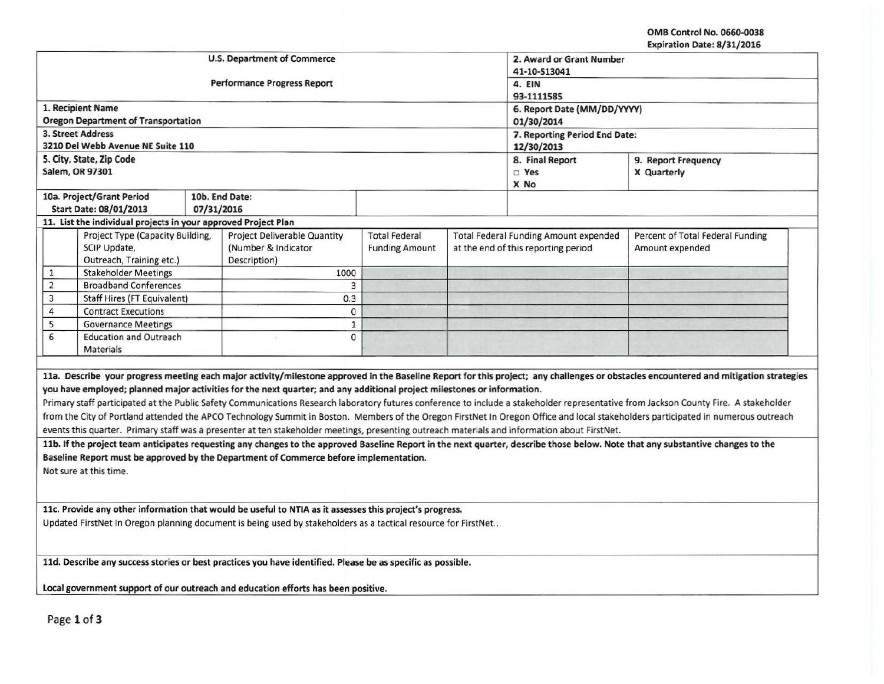OMB Control No. 0660.0038 Expiration Date: 8/31/2016

| <b>U.S. Department of Commerce</b><br>2. Award or Grant Number                                                                                                                                                                                                                                                                                                                                                                                                                                                                                                                                                                                                                                                                                                                                                                                                                                                                                                                                                                                                                                                                                                                                                                                                                                                                                                                     |              |  |  |  |  |  |  |
|------------------------------------------------------------------------------------------------------------------------------------------------------------------------------------------------------------------------------------------------------------------------------------------------------------------------------------------------------------------------------------------------------------------------------------------------------------------------------------------------------------------------------------------------------------------------------------------------------------------------------------------------------------------------------------------------------------------------------------------------------------------------------------------------------------------------------------------------------------------------------------------------------------------------------------------------------------------------------------------------------------------------------------------------------------------------------------------------------------------------------------------------------------------------------------------------------------------------------------------------------------------------------------------------------------------------------------------------------------------------------------|--------------|--|--|--|--|--|--|
|                                                                                                                                                                                                                                                                                                                                                                                                                                                                                                                                                                                                                                                                                                                                                                                                                                                                                                                                                                                                                                                                                                                                                                                                                                                                                                                                                                                    | 41-10-S13041 |  |  |  |  |  |  |
| <b>Performance Progress Report</b><br>4. EIN                                                                                                                                                                                                                                                                                                                                                                                                                                                                                                                                                                                                                                                                                                                                                                                                                                                                                                                                                                                                                                                                                                                                                                                                                                                                                                                                       |              |  |  |  |  |  |  |
| 93-1111585                                                                                                                                                                                                                                                                                                                                                                                                                                                                                                                                                                                                                                                                                                                                                                                                                                                                                                                                                                                                                                                                                                                                                                                                                                                                                                                                                                         |              |  |  |  |  |  |  |
| 1. Recipient Name<br>6. Report Date (MM/DD/YYYY)                                                                                                                                                                                                                                                                                                                                                                                                                                                                                                                                                                                                                                                                                                                                                                                                                                                                                                                                                                                                                                                                                                                                                                                                                                                                                                                                   |              |  |  |  |  |  |  |
| <b>Oregon Department of Transportation</b><br>01/30/2014                                                                                                                                                                                                                                                                                                                                                                                                                                                                                                                                                                                                                                                                                                                                                                                                                                                                                                                                                                                                                                                                                                                                                                                                                                                                                                                           |              |  |  |  |  |  |  |
| 3. Street Address<br>7. Reporting Period End Date:<br>3210 Del Webb Avenue NE Suite 110                                                                                                                                                                                                                                                                                                                                                                                                                                                                                                                                                                                                                                                                                                                                                                                                                                                                                                                                                                                                                                                                                                                                                                                                                                                                                            |              |  |  |  |  |  |  |
| 12/30/2013                                                                                                                                                                                                                                                                                                                                                                                                                                                                                                                                                                                                                                                                                                                                                                                                                                                                                                                                                                                                                                                                                                                                                                                                                                                                                                                                                                         |              |  |  |  |  |  |  |
| 5. City, State, Zip Code<br>8. Final Report<br>9. Report Frequency<br>Salem, OR 97301                                                                                                                                                                                                                                                                                                                                                                                                                                                                                                                                                                                                                                                                                                                                                                                                                                                                                                                                                                                                                                                                                                                                                                                                                                                                                              |              |  |  |  |  |  |  |
| □ Yes<br>X Quarterly<br>X No                                                                                                                                                                                                                                                                                                                                                                                                                                                                                                                                                                                                                                                                                                                                                                                                                                                                                                                                                                                                                                                                                                                                                                                                                                                                                                                                                       |              |  |  |  |  |  |  |
| 10a. Project/Grant Period<br>10b. End Date:                                                                                                                                                                                                                                                                                                                                                                                                                                                                                                                                                                                                                                                                                                                                                                                                                                                                                                                                                                                                                                                                                                                                                                                                                                                                                                                                        |              |  |  |  |  |  |  |
| Start Date: 08/01/2013<br>07/31/2016                                                                                                                                                                                                                                                                                                                                                                                                                                                                                                                                                                                                                                                                                                                                                                                                                                                                                                                                                                                                                                                                                                                                                                                                                                                                                                                                               |              |  |  |  |  |  |  |
| 11. List the individual projects in your approved Project Plan                                                                                                                                                                                                                                                                                                                                                                                                                                                                                                                                                                                                                                                                                                                                                                                                                                                                                                                                                                                                                                                                                                                                                                                                                                                                                                                     |              |  |  |  |  |  |  |
| Project Type (Capacity Building,<br><b>Project Deliverable Quantity</b><br><b>Total Federal</b><br><b>Total Federal Funding Amount expended</b><br>Percent of Total Federal Funding                                                                                                                                                                                                                                                                                                                                                                                                                                                                                                                                                                                                                                                                                                                                                                                                                                                                                                                                                                                                                                                                                                                                                                                                |              |  |  |  |  |  |  |
| SCIP Update,<br>(Number & Indicator<br>at the end of this reporting period<br>Amount expended<br><b>Funding Amount</b>                                                                                                                                                                                                                                                                                                                                                                                                                                                                                                                                                                                                                                                                                                                                                                                                                                                                                                                                                                                                                                                                                                                                                                                                                                                             |              |  |  |  |  |  |  |
| Outreach, Training etc.)<br>Description)                                                                                                                                                                                                                                                                                                                                                                                                                                                                                                                                                                                                                                                                                                                                                                                                                                                                                                                                                                                                                                                                                                                                                                                                                                                                                                                                           |              |  |  |  |  |  |  |
| <b>Stakeholder Meetings</b><br>1000<br>1                                                                                                                                                                                                                                                                                                                                                                                                                                                                                                                                                                                                                                                                                                                                                                                                                                                                                                                                                                                                                                                                                                                                                                                                                                                                                                                                           |              |  |  |  |  |  |  |
| $\overline{2}$<br>3<br><b>Broadband Conferences</b>                                                                                                                                                                                                                                                                                                                                                                                                                                                                                                                                                                                                                                                                                                                                                                                                                                                                                                                                                                                                                                                                                                                                                                                                                                                                                                                                |              |  |  |  |  |  |  |
| 3<br>0.3<br><b>Staff Hires (FT Equivalent)</b>                                                                                                                                                                                                                                                                                                                                                                                                                                                                                                                                                                                                                                                                                                                                                                                                                                                                                                                                                                                                                                                                                                                                                                                                                                                                                                                                     |              |  |  |  |  |  |  |
| 4<br>0<br><b>Contract Executions</b>                                                                                                                                                                                                                                                                                                                                                                                                                                                                                                                                                                                                                                                                                                                                                                                                                                                                                                                                                                                                                                                                                                                                                                                                                                                                                                                                               |              |  |  |  |  |  |  |
| 5<br><b>Governance Meetings</b><br>$\mathbf 1$                                                                                                                                                                                                                                                                                                                                                                                                                                                                                                                                                                                                                                                                                                                                                                                                                                                                                                                                                                                                                                                                                                                                                                                                                                                                                                                                     |              |  |  |  |  |  |  |
| 6<br><b>Education and Outreach</b><br>0                                                                                                                                                                                                                                                                                                                                                                                                                                                                                                                                                                                                                                                                                                                                                                                                                                                                                                                                                                                                                                                                                                                                                                                                                                                                                                                                            |              |  |  |  |  |  |  |
| <b>Materials</b>                                                                                                                                                                                                                                                                                                                                                                                                                                                                                                                                                                                                                                                                                                                                                                                                                                                                                                                                                                                                                                                                                                                                                                                                                                                                                                                                                                   |              |  |  |  |  |  |  |
| 11a. Describe your progress meeting each major activity/milestone approved in the Baseline Report for this project; any challenges or obstacles encountered and mitigation strategies<br>you have employed; planned major activities for the next quarter; and any additional project milestones or information.<br>Primary staff participated at the Public Safety Communications Research laboratory futures conference to include a stakeholder representative from Jackson County Fire. A stakeholder<br>from the City of Portland attended the APCO Technology Summit in Boston. Members of the Oregon FirstNet In Oregon Office and local stakeholders participated in numerous outreach<br>events this quarter. Primary staff was a presenter at ten stakeholder meetings, presenting outreach materials and information about FirstNet.<br>11b. If the project team anticipates requesting any changes to the approved Baseline Report in the next quarter, describe those below. Note that any substantive changes to the<br>Baseline Report must be approved by the Department of Commerce before implementation.<br>Not sure at this time.<br>11c. Provide any other information that would be useful to NTIA as it assesses this project's progress.<br>Updated FirstNet In Oregon planning document is being used by stakeholders as a tactical resource for FirstNet |              |  |  |  |  |  |  |
|                                                                                                                                                                                                                                                                                                                                                                                                                                                                                                                                                                                                                                                                                                                                                                                                                                                                                                                                                                                                                                                                                                                                                                                                                                                                                                                                                                                    |              |  |  |  |  |  |  |
| 11d. Describe any success stories or best practices you have identified. Please be as specific as possible.                                                                                                                                                                                                                                                                                                                                                                                                                                                                                                                                                                                                                                                                                                                                                                                                                                                                                                                                                                                                                                                                                                                                                                                                                                                                        |              |  |  |  |  |  |  |
| Local government support of our outreach and education efforts has been positive.                                                                                                                                                                                                                                                                                                                                                                                                                                                                                                                                                                                                                                                                                                                                                                                                                                                                                                                                                                                                                                                                                                                                                                                                                                                                                                  |              |  |  |  |  |  |  |

Page 1 of 3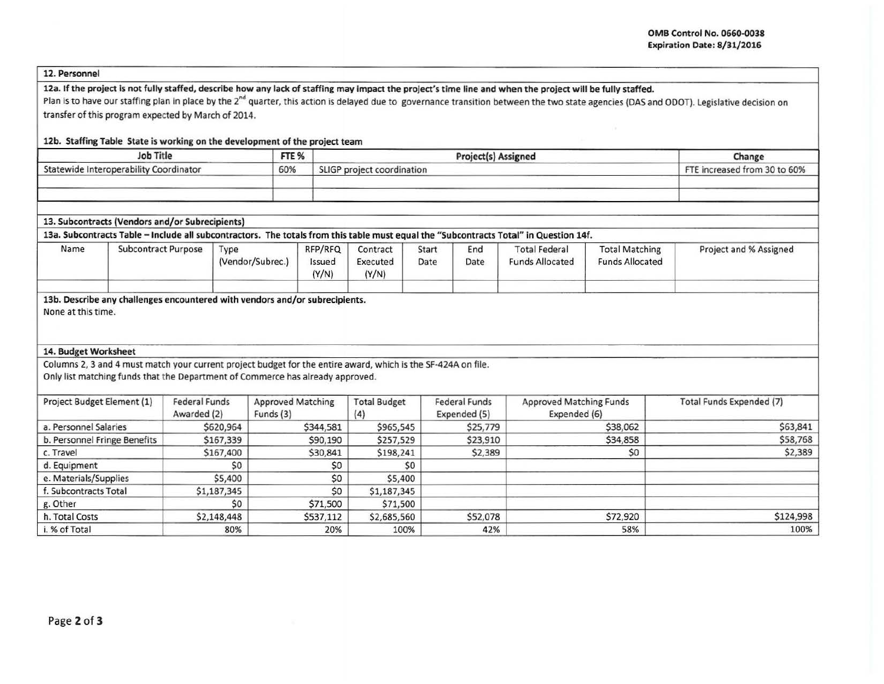#### 12. Personnel

# 12a. If the project is not fully staffed, describe how any lack of staffing may impact the project's time line and when the project will be fully staffed.

Plan is to have our staffing plan in place by the 2<sup>nd</sup> quarter, this action is delayed due to governance transition between the two state agencies (DAS and ODOT). Legislative decision on transfer of this program expected by March of 2014.

### 12b. Staffing Table State is working on the development of the project team

| <b>Job Title</b>                       | FTE % | <b>Project(s) Assigned</b> | Change                       |
|----------------------------------------|-------|----------------------------|------------------------------|
| Statewide Interoperability Coordinator | 60%   | SLIGP project coordination | FTE increased from 30 to 60% |
|                                        |       |                            |                              |
|                                        |       |                            |                              |

#### 13. Subcontracts (Vendors and/or Subrecipients)

#### 13a. Subcontracts Table - Include all subcontractors. The totals from this table must equal the "Subcontracts Total" in Question 14f.

| Name | Subcontract Purpose | Type<br>(Vendor/Subrec.) | RFP/RFQ<br>Issued<br>(Y/N) | Contract<br>Executed<br>(Y/N) | Start<br>Date | End<br>Date | <b>Total Federal</b><br><b>Funds Allocated</b> | <b>Total Matching</b><br><b>Funds Allocated</b> | Project and % Assigned |
|------|---------------------|--------------------------|----------------------------|-------------------------------|---------------|-------------|------------------------------------------------|-------------------------------------------------|------------------------|
|      |                     |                          |                            |                               |               |             |                                                |                                                 |                        |

## 13b. Describe any challenges encountered with vendors and/or subrecipients.

None at this time.

#### 14. Budget Worksheet

Columns 2, 3 and 4 must match your current project budget for the entire award, which is the SF·424A on file.

Only list matching funds that the Department of Commerce has already approved.

| Project Budget Element (1)   | <b>Federal Funds</b><br>Awarded (2) | <b>Approved Matching</b><br>Funds $(3)$ | <b>Total Budget</b><br>(4) | <b>Federal Funds</b><br>Expended (5) | <b>Approved Matching Funds</b><br>Expended (6) | Total Funds Expended (7) |
|------------------------------|-------------------------------------|-----------------------------------------|----------------------------|--------------------------------------|------------------------------------------------|--------------------------|
| a. Personnel Salaries        | \$620,964                           | \$344,581                               | \$965,545                  | \$25,779                             | \$38,062                                       | \$63,841                 |
| b. Personnel Fringe Benefits | \$167,339                           | \$90,190                                | \$257,529                  | \$23,910                             | \$34,858                                       | \$58,768                 |
| c. Travel                    | \$167,400                           | \$30,841                                | \$198,241                  | \$2,389                              | \$0                                            | \$2,389                  |
| d. Equipment                 | \$O                                 | \$0                                     | \$0                        |                                      |                                                |                          |
| e. Materials/Supplies        | \$5,400                             | \$0                                     | \$5,400                    |                                      |                                                |                          |
| f. Subcontracts Total        | \$1,187,345                         | \$0                                     | \$1,187,345                |                                      |                                                |                          |
| g. Other                     | \$O                                 | \$71,500                                | \$71,500                   |                                      |                                                |                          |
| h. Total Costs               | \$2,148,448                         | \$537,112                               | \$2,685,560                | \$52,078                             | \$72,920                                       | \$124,998                |
| i. % of Total                | 80%                                 | 20%                                     | 100%                       | 42%                                  | 58%                                            | 100%                     |